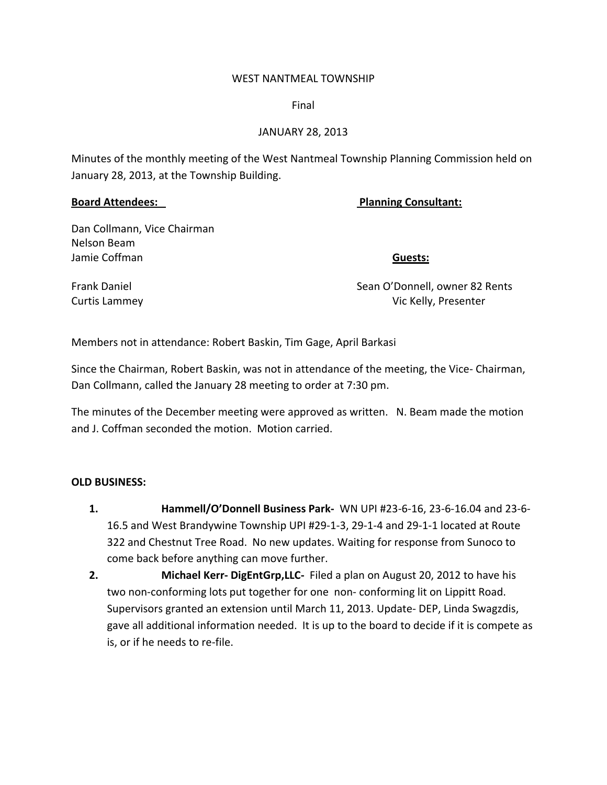### WEST NANTMEAL TOWNSHIP

Final

## JANUARY 28, 2013

Minutes of the monthly meeting of the West Nantmeal Township Planning Commission held on January 28, 2013, at the Township Building.

# **Board Attendees: Planning Consultant:**

Dan Collmann, Vice Chairman Nelson Beam Jamie Coffman **Guests:**

Frank Daniel Sean O'Donnell, owner 82 Rents Curtis Lammey **Curtis Lammey 2008** Curtis Lammey **Curtis Lammey 2008** Curtis Lammey **2008** Curtis Lamment Curtis Lamment Curtis Lamment Curtis Lamment Curtis Lamment Curtis Lamment Curtis Lamment Curtis Lamment Curtis

Members not in attendance: Robert Baskin, Tim Gage, April Barkasi

Since the Chairman, Robert Baskin, was not in attendance of the meeting, the Vice‐ Chairman, Dan Collmann, called the January 28 meeting to order at 7:30 pm.

The minutes of the December meeting were approved as written. N. Beam made the motion and J. Coffman seconded the motion. Motion carried.

# **OLD BUSINESS:**

- **1. Hammell/O'Donnell Business Park‐**  WN UPI #23‐6‐16, 23‐6‐16.04 and 23‐6‐ 16.5 and West Brandywine Township UPI #29‐1‐3, 29‐1‐4 and 29‐1‐1 located at Route 322 and Chestnut Tree Road. No new updates. Waiting for response from Sunoco to come back before anything can move further.
- **2. Michael Kerr- DigEntGrp, LLC** Filed a plan on August 20, 2012 to have his two non‐conforming lots put together for one non‐ conforming lit on Lippitt Road. Supervisors granted an extension until March 11, 2013. Update‐ DEP, Linda Swagzdis, gave all additional information needed. It is up to the board to decide if it is compete as is, or if he needs to re‐file.